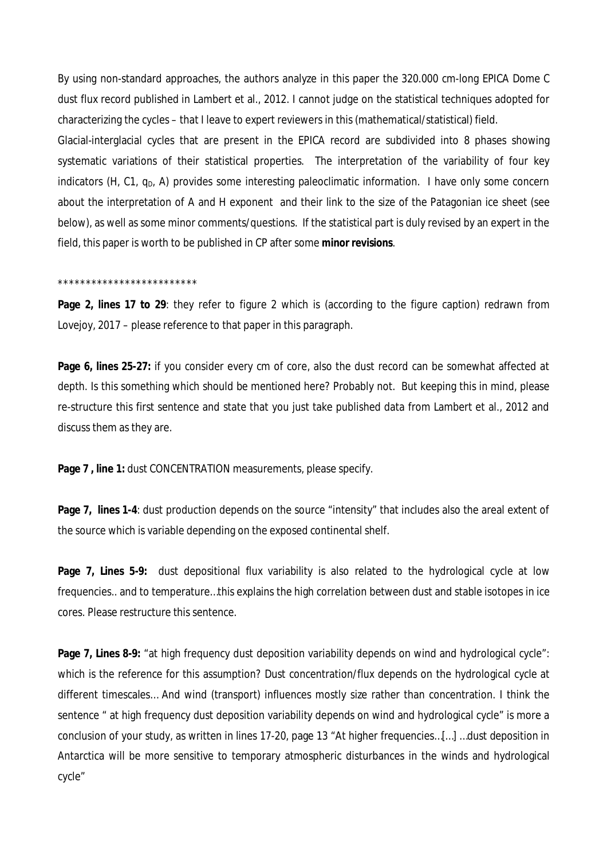By using non-standard approaches, the authors analyze in this paper the 320.000 cm-long EPICA Dome C dust flux record published in Lambert et al., 2012. I cannot judge on the statistical techniques adopted for characterizing the cycles – that I leave to expert reviewers in this (mathematical/statistical) field.

Glacial-interglacial cycles that are present in the EPICA record are subdivided into 8 phases showing systematic variations of their statistical properties. The interpretation of the variability of four key indicators (H, C1,  $q<sub>D</sub>$ , A) provides some interesting paleoclimatic information. I have only some concern about the interpretation of A and H exponent and their link to the size of the Patagonian ice sheet (see below), as well as some minor comments/questions. If the statistical part is duly revised by an expert in the field, this paper is worth to be published in CP after some *minor revisions*.

## \*\*\*\*\*\*\*\*\*\*\*\*\*\*\*\*\*\*\*\*\*\*\*\*\*

**Page 2, lines 17 to 29**: they refer to figure 2 which is (according to the figure caption) redrawn from Lovejoy, 2017 – please reference to that paper in this paragraph.

**Page 6, lines 25-27:** if you consider every cm of core, also the dust record can be somewhat affected at depth. Is this something which should be mentioned here? Probably not. But keeping this in mind, please re-structure this first sentence and state that you just take published data from Lambert et al., 2012 and discuss them as they are.

**Page 7 , line 1:** dust CONCENTRATION measurements, please specify.

**Page 7, lines 1-4**: dust production depends on the source "intensity" that includes also the areal extent of the source which is variable depending on the exposed continental shelf.

**Page 7, Lines 5-9:** dust depositional flux variability is also related to the hydrological cycle at low frequencies.. and to temperature…this explains the high correlation between dust and stable isotopes in ice cores. Please restructure this sentence.

**Page 7, Lines 8-9:** "at high frequency dust deposition variability depends on wind and hydrological cycle": which is the reference for this assumption? Dust concentration/flux depends on the hydrological cycle at different timescales… And wind (transport) influences mostly size rather than concentration. I think the sentence " at high frequency dust deposition variability depends on wind and hydrological cycle" is more a conclusion of your study, as written in lines 17-20, page 13 "At higher frequencies…[…] …dust deposition in Antarctica will be more sensitive to temporary atmospheric disturbances in the winds and hydrological cycle"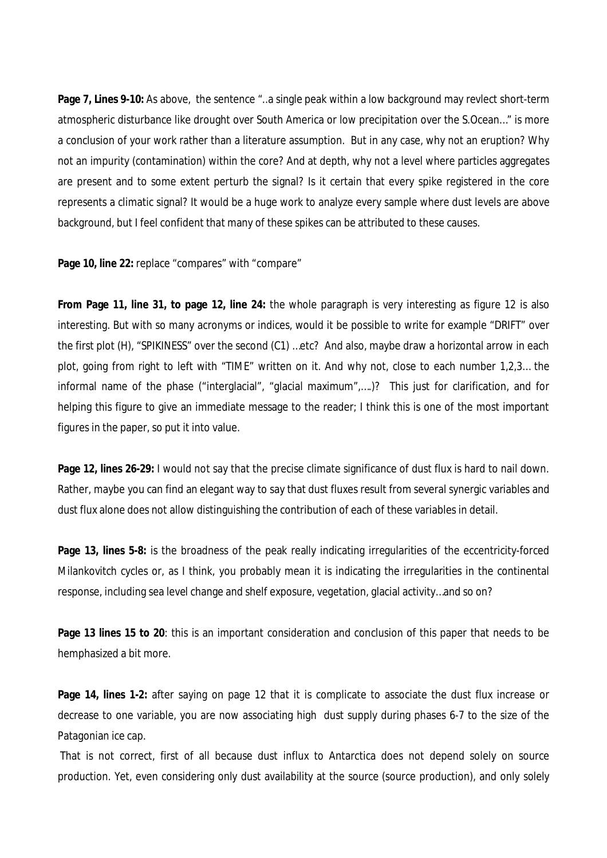**Page 7, Lines 9-10:** As above, the sentence "..a single peak within a low background may revlect short-term atmospheric disturbance like drought over South America or low precipitation over the S.Ocean…" is more a conclusion of your work rather than a literature assumption. But in any case, why not an eruption? Why not an impurity (contamination) within the core? And at depth, why not a level where particles aggregates are present and to some extent perturb the signal? Is it certain that every spike registered in the core represents a climatic signal? It would be a huge work to analyze every sample where dust levels are above background, but I feel confident that many of these spikes can be attributed to these causes.

Page 10, line 22: replace "compares" with "compare"

**From Page 11, line 31, to page 12, line 24:** the whole paragraph is very interesting as figure 12 is also interesting. But with so many acronyms or indices, would it be possible to write for example "DRIFT" over the first plot (H), "SPIKINESS" over the second (C1) …etc? And also, maybe draw a horizontal arrow in each plot, going from right to left with "TIME" written on it. And why not, close to each number 1,2,3… the informal name of the phase ("interglacial", "glacial maximum",….)? This just for clarification, and for helping this figure to give an immediate message to the reader; I think this is one of the most important figures in the paper, so put it into value.

**Page 12, lines 26-29:** I would not say that the precise climate significance of dust flux is hard to nail down. Rather, maybe you can find an elegant way to say that dust fluxes result from several synergic variables and dust flux alone does not allow distinguishing the contribution of each of these variables in detail.

**Page 13, lines 5-8:** is the broadness of the peak really indicating irregularities of the eccentricity-forced Milankovitch cycles or, as I think, you probably mean it is indicating the irregularities in the continental response, including sea level change and shelf exposure, vegetation, glacial activity…and so on?

**Page 13 lines 15 to 20**: this is an important consideration and conclusion of this paper that needs to be hemphasized a bit more.

**Page 14, lines 1-2:** after saying on page 12 that it is complicate to associate the dust flux increase or decrease to one variable, you are now associating high dust supply during phases 6-7 to the size of the Patagonian ice cap.

That is not correct, first of all because dust influx to Antarctica does not depend solely on source production. Yet, even considering only dust availability at the source (source production), and only solely